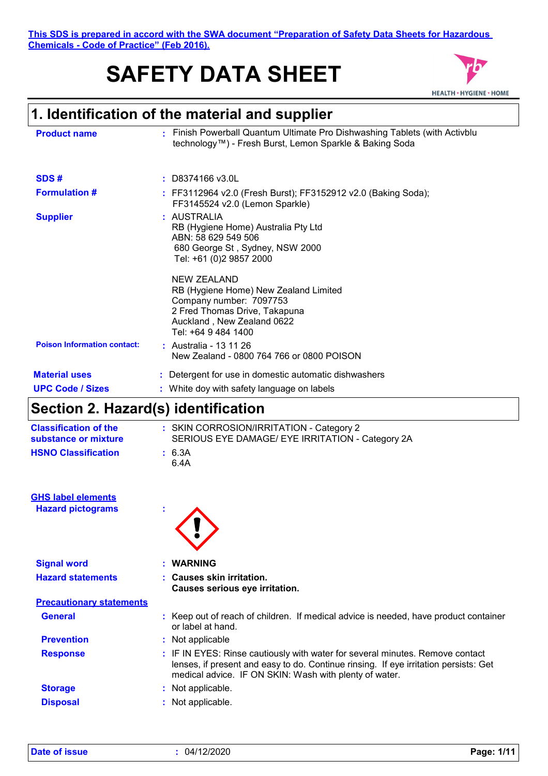**This SDS is prepared in accord with the SWA document "Preparation of Safety Data Sheets for Hazardous Chemicals - Code of Practice" (Feb 2016).**

# **SAFETY DATA SHEET**



# **1. Identification of the material and supplier**

| <b>Product name</b>                 | Finish Powerball Quantum Ultimate Pro Dishwashing Tablets (with Activblu<br>٠<br>technology™) - Fresh Burst, Lemon Sparkle & Baking Soda                                                                                                                                                                         |
|-------------------------------------|------------------------------------------------------------------------------------------------------------------------------------------------------------------------------------------------------------------------------------------------------------------------------------------------------------------|
|                                     |                                                                                                                                                                                                                                                                                                                  |
| SDS#                                | $:$ D8374166 v3.0L                                                                                                                                                                                                                                                                                               |
| <b>Formulation #</b>                | : FF3112964 v2.0 (Fresh Burst); FF3152912 v2.0 (Baking Soda);<br>FF3145524 v2.0 (Lemon Sparkle)                                                                                                                                                                                                                  |
| <b>Supplier</b>                     | : AUSTRALIA<br>RB (Hygiene Home) Australia Pty Ltd<br>ABN: 58 629 549 506<br>680 George St, Sydney, NSW 2000<br>Tel: +61 (0)2 9857 2000<br>NEW ZEALAND<br>RB (Hygiene Home) New Zealand Limited<br>Company number: 7097753<br>2 Fred Thomas Drive, Takapuna<br>Auckland, New Zealand 0622<br>Tel: +64 9 484 1400 |
| <b>Poison Information contact:</b>  | : Australia - 13 11 26<br>New Zealand - 0800 764 766 or 0800 POISON                                                                                                                                                                                                                                              |
| <b>Material uses</b>                | : Detergent for use in domestic automatic dishwashers                                                                                                                                                                                                                                                            |
| <b>UPC Code / Sizes</b>             | : White doy with safety language on labels                                                                                                                                                                                                                                                                       |
| Section 2. Hazard(s) identification |                                                                                                                                                                                                                                                                                                                  |
|                                     |                                                                                                                                                                                                                                                                                                                  |

| <b>Classification of the</b><br>substance or mixture  | : SKIN CORROSION/IRRITATION - Category 2<br>SERIOUS EYE DAMAGE/ EYE IRRITATION - Category 2A                                                                                                                                    |
|-------------------------------------------------------|---------------------------------------------------------------------------------------------------------------------------------------------------------------------------------------------------------------------------------|
| <b>HSNO Classification</b>                            | : 6.3A<br>6.4A                                                                                                                                                                                                                  |
| <b>GHS label elements</b><br><b>Hazard pictograms</b> | ÷                                                                                                                                                                                                                               |
| <b>Signal word</b>                                    | <b>WARNING</b>                                                                                                                                                                                                                  |
| <b>Hazard statements</b>                              | : Causes skin irritation.<br>Causes serious eye irritation.                                                                                                                                                                     |
| <b>Precautionary statements</b>                       |                                                                                                                                                                                                                                 |
| <b>General</b>                                        | Keep out of reach of children. If medical advice is needed, have product container<br>or label at hand.                                                                                                                         |
| <b>Prevention</b>                                     | : Not applicable                                                                                                                                                                                                                |
| <b>Response</b>                                       | : IF IN EYES: Rinse cautiously with water for several minutes. Remove contact<br>lenses, if present and easy to do. Continue rinsing. If eye irritation persists: Get<br>medical advice. IF ON SKIN: Wash with plenty of water. |

| <b>Storage</b> | : Not applicable. |
|----------------|-------------------|
|                |                   |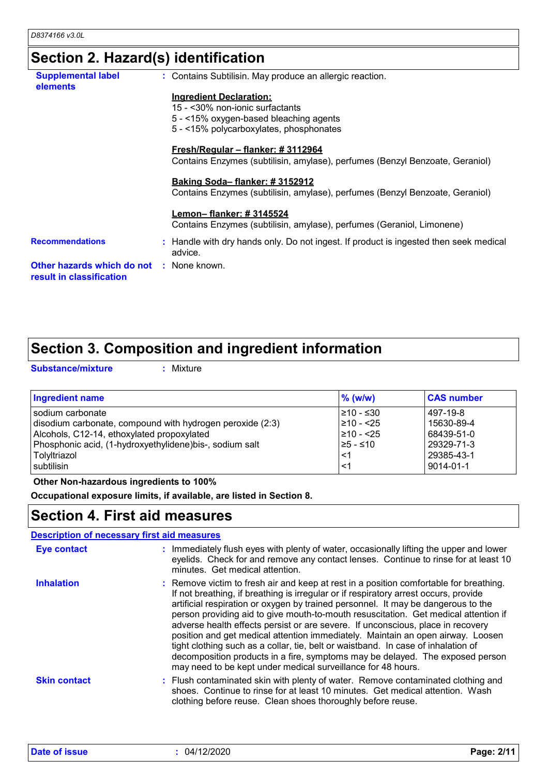# **Section 2. Hazard(s) identification**

| <b>Supplemental label</b><br><b>elements</b>           | : Contains Subtilisin. May produce an allergic reaction.                                         |
|--------------------------------------------------------|--------------------------------------------------------------------------------------------------|
|                                                        | <b>Ingredient Declaration:</b>                                                                   |
|                                                        | 15 - <30% non-ionic surfactants                                                                  |
|                                                        | $5 - 15\%$ oxygen-based bleaching agents                                                         |
|                                                        | 5 - <15% polycarboxylates, phosphonates                                                          |
|                                                        | <u> Fresh/Regular – flanker: #3112964</u>                                                        |
|                                                        | Contains Enzymes (subtilisin, amylase), perfumes (Benzyl Benzoate, Geraniol)                     |
|                                                        | Baking Soda-flanker: #3152912                                                                    |
|                                                        | Contains Enzymes (subtilisin, amylase), perfumes (Benzyl Benzoate, Geraniol)                     |
|                                                        | Lemon– flanker: # 3145524                                                                        |
|                                                        | Contains Enzymes (subtilisin, amylase), perfumes (Geraniol, Limonene)                            |
| <b>Recommendations</b>                                 | : Handle with dry hands only. Do not ingest. If product is ingested then seek medical<br>advice. |
| Other hazards which do not<br>result in classification | : None known.                                                                                    |
|                                                        |                                                                                                  |

# **Section 3. Composition and ingredient information**

**Substance/mixture :**

: Mixture

| <b>Ingredient name</b>                                    | $%$ (w/w)       | <b>CAS number</b> |
|-----------------------------------------------------------|-----------------|-------------------|
| l sodium carbonate                                        | $\geq 10 - 530$ | 497-19-8          |
| disodium carbonate, compound with hydrogen peroxide (2:3) | 1≥10 - <25      | 15630-89-4        |
| Alcohols, C12-14, ethoxylated propoxylated                | $\geq 10 - 25$  | 68439-51-0        |
| Phosphonic acid, (1-hydroxyethylidene) bis-, sodium salt  | I≥5 - ≤10       | 29329-71-3        |
| Tolyltriazol                                              | ั<1             | 29385-43-1        |
| l subtilisin.                                             | -≺1             | $9014 - 01 - 1$   |

### **Other Non-hazardous ingredients to 100%**

**Occupational exposure limits, if available, are listed in Section 8.**

### **Section 4. First aid measures**

### **Description of necessary first aid measures**

| <b>Eye contact</b>  | : Immediately flush eyes with plenty of water, occasionally lifting the upper and lower<br>eyelids. Check for and remove any contact lenses. Continue to rinse for at least 10<br>minutes. Get medical attention.                                                                                                                                                                                                                                                                                                                                                                                                                                                                                                                                                      |
|---------------------|------------------------------------------------------------------------------------------------------------------------------------------------------------------------------------------------------------------------------------------------------------------------------------------------------------------------------------------------------------------------------------------------------------------------------------------------------------------------------------------------------------------------------------------------------------------------------------------------------------------------------------------------------------------------------------------------------------------------------------------------------------------------|
| <b>Inhalation</b>   | : Remove victim to fresh air and keep at rest in a position comfortable for breathing.<br>If not breathing, if breathing is irregular or if respiratory arrest occurs, provide<br>artificial respiration or oxygen by trained personnel. It may be dangerous to the<br>person providing aid to give mouth-to-mouth resuscitation. Get medical attention if<br>adverse health effects persist or are severe. If unconscious, place in recovery<br>position and get medical attention immediately. Maintain an open airway. Loosen<br>tight clothing such as a collar, tie, belt or waistband. In case of inhalation of<br>decomposition products in a fire, symptoms may be delayed. The exposed person<br>may need to be kept under medical surveillance for 48 hours. |
| <b>Skin contact</b> | : Flush contaminated skin with plenty of water. Remove contaminated clothing and<br>shoes. Continue to rinse for at least 10 minutes. Get medical attention. Wash<br>clothing before reuse. Clean shoes thoroughly before reuse.                                                                                                                                                                                                                                                                                                                                                                                                                                                                                                                                       |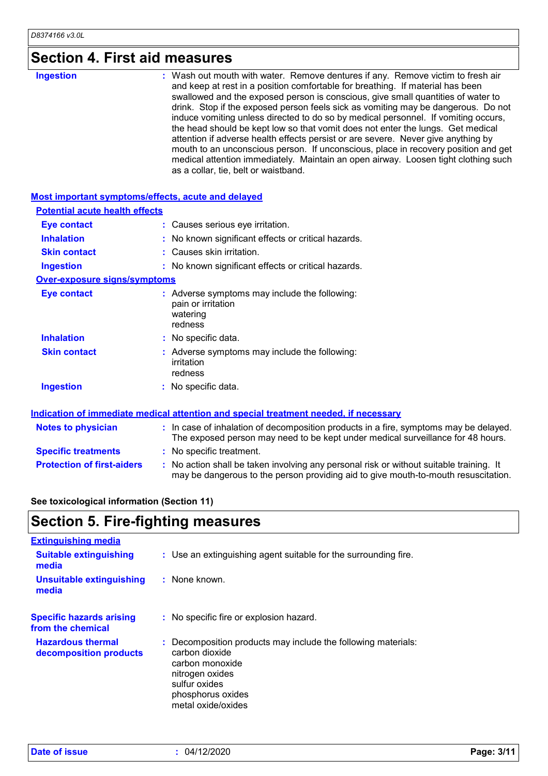### **Section 4. First aid measures**

| <b>Ingestion</b>                                   | : Wash out mouth with water. Remove dentures if any. Remove victim to fresh air<br>and keep at rest in a position comfortable for breathing. If material has been<br>swallowed and the exposed person is conscious, give small quantities of water to<br>drink. Stop if the exposed person feels sick as vomiting may be dangerous. Do not<br>induce vomiting unless directed to do so by medical personnel. If vomiting occurs,<br>the head should be kept low so that vomit does not enter the lungs. Get medical<br>attention if adverse health effects persist or are severe. Never give anything by<br>mouth to an unconscious person. If unconscious, place in recovery position and get<br>medical attention immediately. Maintain an open airway. Loosen tight clothing such<br>as a collar, tie, belt or waistband. |
|----------------------------------------------------|------------------------------------------------------------------------------------------------------------------------------------------------------------------------------------------------------------------------------------------------------------------------------------------------------------------------------------------------------------------------------------------------------------------------------------------------------------------------------------------------------------------------------------------------------------------------------------------------------------------------------------------------------------------------------------------------------------------------------------------------------------------------------------------------------------------------------|
| Most important symptoms/effects, acute and delayed |                                                                                                                                                                                                                                                                                                                                                                                                                                                                                                                                                                                                                                                                                                                                                                                                                              |
| <b>Potential acute health effects</b>              |                                                                                                                                                                                                                                                                                                                                                                                                                                                                                                                                                                                                                                                                                                                                                                                                                              |
| <b>Eye contact</b>                                 | : Causes serious eye irritation.                                                                                                                                                                                                                                                                                                                                                                                                                                                                                                                                                                                                                                                                                                                                                                                             |
| <b>Inhalation</b>                                  | : No known significant effects or critical hazards.                                                                                                                                                                                                                                                                                                                                                                                                                                                                                                                                                                                                                                                                                                                                                                          |
| <b>Skin contact</b>                                | : Causes skin irritation.                                                                                                                                                                                                                                                                                                                                                                                                                                                                                                                                                                                                                                                                                                                                                                                                    |
| <b>Ingestion</b>                                   | : No known significant effects or critical hazards.                                                                                                                                                                                                                                                                                                                                                                                                                                                                                                                                                                                                                                                                                                                                                                          |
| <b>Over-exposure signs/symptoms</b>                |                                                                                                                                                                                                                                                                                                                                                                                                                                                                                                                                                                                                                                                                                                                                                                                                                              |
| <b>Eye contact</b>                                 | : Adverse symptoms may include the following:<br>pain or irritation<br>watering<br>redness                                                                                                                                                                                                                                                                                                                                                                                                                                                                                                                                                                                                                                                                                                                                   |
| <b>Inhalation</b>                                  | : No specific data.                                                                                                                                                                                                                                                                                                                                                                                                                                                                                                                                                                                                                                                                                                                                                                                                          |
| <b>Skin contact</b>                                | : Adverse symptoms may include the following:<br>irritation<br>redness                                                                                                                                                                                                                                                                                                                                                                                                                                                                                                                                                                                                                                                                                                                                                       |
| <b>Ingestion</b>                                   | : No specific data.                                                                                                                                                                                                                                                                                                                                                                                                                                                                                                                                                                                                                                                                                                                                                                                                          |
|                                                    | Indication of immediate medical attention and special treatment needed, if necessary                                                                                                                                                                                                                                                                                                                                                                                                                                                                                                                                                                                                                                                                                                                                         |
| <b>Notes to physician</b>                          | : In case of inhalation of decomposition products in a fire, symptoms may be delayed.<br>The exposed person may need to be kept under medical surveillance for 48 hours.                                                                                                                                                                                                                                                                                                                                                                                                                                                                                                                                                                                                                                                     |
| <b>Specific treatments</b>                         | : No specific treatment.                                                                                                                                                                                                                                                                                                                                                                                                                                                                                                                                                                                                                                                                                                                                                                                                     |
| <b>Protection of first-aiders</b>                  | : No action shall be taken involving any personal risk or without suitable training. It<br>may be dangerous to the person providing aid to give mouth-to-mouth resuscitation.                                                                                                                                                                                                                                                                                                                                                                                                                                                                                                                                                                                                                                                |
|                                                    |                                                                                                                                                                                                                                                                                                                                                                                                                                                                                                                                                                                                                                                                                                                                                                                                                              |

### **See toxicological information (Section 11)**

# **Section 5. Fire-fighting measures**

| <b>Extinguishing media</b>                           |                                                                                                                                                                                   |
|------------------------------------------------------|-----------------------------------------------------------------------------------------------------------------------------------------------------------------------------------|
| <b>Suitable extinguishing</b><br>media               | : Use an extinguishing agent suitable for the surrounding fire.                                                                                                                   |
| <b>Unsuitable extinguishing</b><br>media             | : None known.                                                                                                                                                                     |
| <b>Specific hazards arising</b><br>from the chemical | : No specific fire or explosion hazard.                                                                                                                                           |
| <b>Hazardous thermal</b><br>decomposition products   | : Decomposition products may include the following materials:<br>carbon dioxide<br>carbon monoxide<br>nitrogen oxides<br>sulfur oxides<br>phosphorus oxides<br>metal oxide/oxides |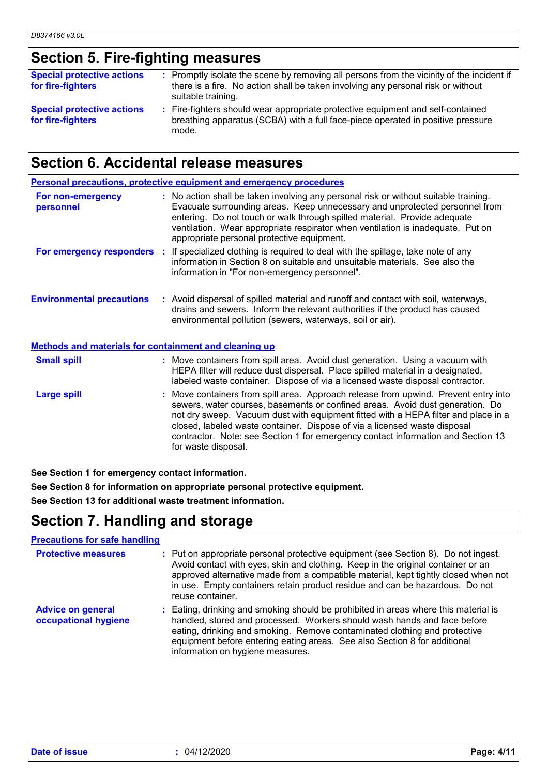# **Section 5. Fire-fighting measures**

| <b>Special protective actions</b><br>for fire-fighters | : Promptly isolate the scene by removing all persons from the vicinity of the incident if<br>there is a fire. No action shall be taken involving any personal risk or without<br>suitable training. |  |
|--------------------------------------------------------|-----------------------------------------------------------------------------------------------------------------------------------------------------------------------------------------------------|--|
| <b>Special protective actions</b><br>for fire-fighters | : Fire-fighters should wear appropriate protective equipment and self-contained<br>breathing apparatus (SCBA) with a full face-piece operated in positive pressure<br>mode.                         |  |

## **Section 6. Accidental release measures**

|                                                       | <b>Personal precautions, protective equipment and emergency procedures</b>                                                                                                                                                                                                                                                                                                                                                                         |
|-------------------------------------------------------|----------------------------------------------------------------------------------------------------------------------------------------------------------------------------------------------------------------------------------------------------------------------------------------------------------------------------------------------------------------------------------------------------------------------------------------------------|
| For non-emergency<br>personnel                        | : No action shall be taken involving any personal risk or without suitable training.<br>Evacuate surrounding areas. Keep unnecessary and unprotected personnel from<br>entering. Do not touch or walk through spilled material. Provide adequate<br>ventilation. Wear appropriate respirator when ventilation is inadequate. Put on<br>appropriate personal protective equipment.                                                                  |
|                                                       | For emergency responders : If specialized clothing is required to deal with the spillage, take note of any<br>information in Section 8 on suitable and unsuitable materials. See also the<br>information in "For non-emergency personnel".                                                                                                                                                                                                         |
| <b>Environmental precautions</b>                      | : Avoid dispersal of spilled material and runoff and contact with soil, waterways,<br>drains and sewers. Inform the relevant authorities if the product has caused<br>environmental pollution (sewers, waterways, soil or air).                                                                                                                                                                                                                    |
| Methods and materials for containment and cleaning up |                                                                                                                                                                                                                                                                                                                                                                                                                                                    |
| <b>Small spill</b>                                    | : Move containers from spill area. Avoid dust generation. Using a vacuum with<br>HEPA filter will reduce dust dispersal. Place spilled material in a designated,<br>labeled waste container. Dispose of via a licensed waste disposal contractor.                                                                                                                                                                                                  |
| <b>Large spill</b>                                    | : Move containers from spill area. Approach release from upwind. Prevent entry into<br>sewers, water courses, basements or confined areas. Avoid dust generation. Do<br>not dry sweep. Vacuum dust with equipment fitted with a HEPA filter and place in a<br>closed, labeled waste container. Dispose of via a licensed waste disposal<br>contractor. Note: see Section 1 for emergency contact information and Section 13<br>for waste disposal. |

**See Section 1 for emergency contact information.**

**See Section 8 for information on appropriate personal protective equipment. See Section 13 for additional waste treatment information.**

## **Section 7. Handling and storage**

### **Precautions for safe handling**

| <b>Protective measures</b>                       | : Put on appropriate personal protective equipment (see Section 8). Do not ingest.<br>Avoid contact with eyes, skin and clothing. Keep in the original container or an<br>approved alternative made from a compatible material, kept tightly closed when not<br>in use. Empty containers retain product residue and can be hazardous. Do not<br>reuse container. |
|--------------------------------------------------|------------------------------------------------------------------------------------------------------------------------------------------------------------------------------------------------------------------------------------------------------------------------------------------------------------------------------------------------------------------|
| <b>Advice on general</b><br>occupational hygiene | : Eating, drinking and smoking should be prohibited in areas where this material is<br>handled, stored and processed. Workers should wash hands and face before<br>eating, drinking and smoking. Remove contaminated clothing and protective<br>equipment before entering eating areas. See also Section 8 for additional<br>information on hygiene measures.    |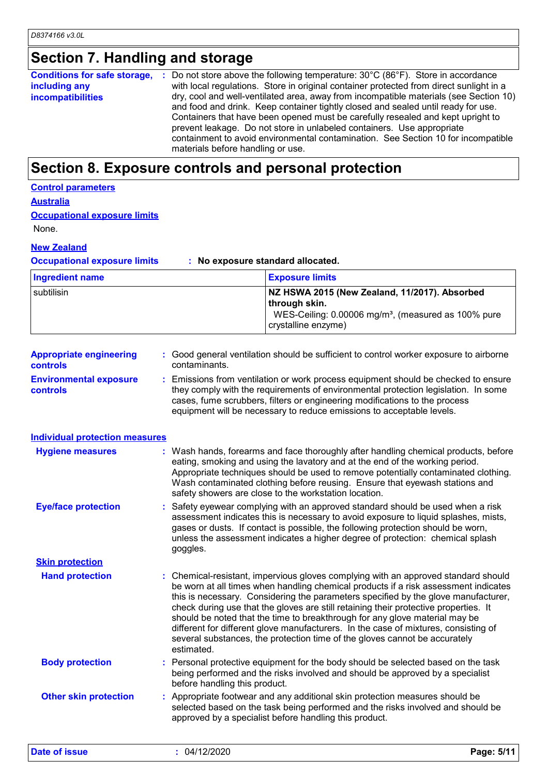# **Section 7. Handling and storage**

| including any<br><b>incompatibilities</b> | <b>Conditions for safe storage, </b> : Do not store above the following temperature: $30^{\circ}$ C (86°F). Store in accordance<br>with local regulations. Store in original container protected from direct sunlight in a<br>dry, cool and well-ventilated area, away from incompatible materials (see Section 10)<br>and food and drink. Keep container tightly closed and sealed until ready for use.<br>Containers that have been opened must be carefully resealed and kept upright to<br>prevent leakage. Do not store in unlabeled containers. Use appropriate<br>containment to avoid environmental contamination. See Section 10 for incompatible<br>materials before handling or use. |
|-------------------------------------------|-------------------------------------------------------------------------------------------------------------------------------------------------------------------------------------------------------------------------------------------------------------------------------------------------------------------------------------------------------------------------------------------------------------------------------------------------------------------------------------------------------------------------------------------------------------------------------------------------------------------------------------------------------------------------------------------------|
|-------------------------------------------|-------------------------------------------------------------------------------------------------------------------------------------------------------------------------------------------------------------------------------------------------------------------------------------------------------------------------------------------------------------------------------------------------------------------------------------------------------------------------------------------------------------------------------------------------------------------------------------------------------------------------------------------------------------------------------------------------|

## **Section 8. Exposure controls and personal protection**

### **Control parameters**

**Australia**

| <b>Occupational exposure limits</b> |
|-------------------------------------|
|                                     |

None.

### **New Zealand**

**Occupational exposure limits : No exposure standard allocated.**

| Ingredient name | <b>Exposure limits</b>                                                                                                                                     |
|-----------------|------------------------------------------------------------------------------------------------------------------------------------------------------------|
| subtilisin      | NZ HSWA 2015 (New Zealand, 11/2017). Absorbed<br>  through skin.<br>WES-Ceiling: 0.00006 mg/m <sup>3</sup> , (measured as 100% pure<br>crystalline enzyme) |

| <b>Appropriate engineering</b><br><b>controls</b> | : Good general ventilation should be sufficient to control worker exposure to airborne<br>contaminants.                                                                                                   |
|---------------------------------------------------|-----------------------------------------------------------------------------------------------------------------------------------------------------------------------------------------------------------|
| <b>Environmental exposure</b>                     | : Emissions from ventilation or work process equipment should be checked to ensure<br>المتحديث بمرار المرجان والمتحاول والمتحاوي والملحوم ومحاويته والمتحدث والمتحدث والمحافظ والمتحدث والمتحدث والمحافلة |

#### **controls** they comply with the requirements of environmental protection legislation. In some cases, fume scrubbers, filters or engineering modifications to the process equipment will be necessary to reduce emissions to acceptable levels.

**Individual protection measures**

| <b>Hygiene measures</b>      | : Wash hands, forearms and face thoroughly after handling chemical products, before<br>eating, smoking and using the lavatory and at the end of the working period.<br>Appropriate techniques should be used to remove potentially contaminated clothing.<br>Wash contaminated clothing before reusing. Ensure that eyewash stations and<br>safety showers are close to the workstation location.                                                                                                                                                                                                                         |
|------------------------------|---------------------------------------------------------------------------------------------------------------------------------------------------------------------------------------------------------------------------------------------------------------------------------------------------------------------------------------------------------------------------------------------------------------------------------------------------------------------------------------------------------------------------------------------------------------------------------------------------------------------------|
| <b>Eye/face protection</b>   | : Safety eyewear complying with an approved standard should be used when a risk<br>assessment indicates this is necessary to avoid exposure to liquid splashes, mists,<br>gases or dusts. If contact is possible, the following protection should be worn,<br>unless the assessment indicates a higher degree of protection: chemical splash<br>goggles.                                                                                                                                                                                                                                                                  |
| <b>Skin protection</b>       |                                                                                                                                                                                                                                                                                                                                                                                                                                                                                                                                                                                                                           |
| <b>Hand protection</b>       | : Chemical-resistant, impervious gloves complying with an approved standard should<br>be worn at all times when handling chemical products if a risk assessment indicates<br>this is necessary. Considering the parameters specified by the glove manufacturer,<br>check during use that the gloves are still retaining their protective properties. It<br>should be noted that the time to breakthrough for any glove material may be<br>different for different glove manufacturers. In the case of mixtures, consisting of<br>several substances, the protection time of the gloves cannot be accurately<br>estimated. |
| <b>Body protection</b>       | : Personal protective equipment for the body should be selected based on the task<br>being performed and the risks involved and should be approved by a specialist<br>before handling this product.                                                                                                                                                                                                                                                                                                                                                                                                                       |
| <b>Other skin protection</b> | : Appropriate footwear and any additional skin protection measures should be<br>selected based on the task being performed and the risks involved and should be<br>approved by a specialist before handling this product.                                                                                                                                                                                                                                                                                                                                                                                                 |

**Date of issue :** 04/12/2020 **Page: 5/11**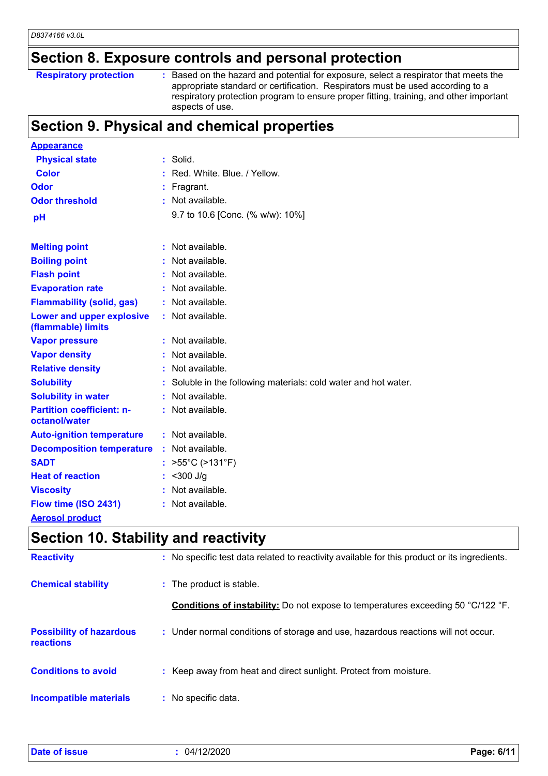# **Section 8. Exposure controls and personal protection**

### **Respiratory protection :**

Based on the hazard and potential for exposure, select a respirator that meets the appropriate standard or certification. Respirators must be used according to a respiratory protection program to ensure proper fitting, training, and other important aspects of use.

### **Section 9. Physical and chemical properties**

| <b>Appearance</b>                                 |    |                                                               |
|---------------------------------------------------|----|---------------------------------------------------------------|
| <b>Physical state</b>                             |    | $:$ Solid.                                                    |
| <b>Color</b>                                      |    | Red. White, Blue, / Yellow.                                   |
| Odor                                              |    | Fragrant.                                                     |
| <b>Odor threshold</b>                             |    | : Not available.                                              |
| pH                                                |    | 9.7 to 10.6 [Conc. (% w/w): 10%]                              |
|                                                   |    |                                                               |
| <b>Melting point</b>                              | ÷. | Not available.                                                |
| <b>Boiling point</b>                              |    | Not available.                                                |
| <b>Flash point</b>                                |    | Not available.                                                |
| <b>Evaporation rate</b>                           |    | Not available.                                                |
| <b>Flammability (solid, gas)</b>                  | ÷. | Not available.                                                |
| Lower and upper explosive<br>(flammable) limits   |    | Not available.                                                |
| <b>Vapor pressure</b>                             |    | : Not available.                                              |
| <b>Vapor density</b>                              |    | Not available.                                                |
| <b>Relative density</b>                           |    | Not available.                                                |
| <b>Solubility</b>                                 |    | Soluble in the following materials: cold water and hot water. |
| <b>Solubility in water</b>                        |    | Not available.                                                |
| <b>Partition coefficient: n-</b><br>octanol/water |    | Not available.                                                |
| <b>Auto-ignition temperature</b>                  |    | : Not available.                                              |
| <b>Decomposition temperature</b>                  |    | Not available.                                                |
| <b>SADT</b>                                       |    | $>55^{\circ}$ C (>131 $^{\circ}$ F)                           |
| <b>Heat of reaction</b>                           |    | : $<$ 300 J/g                                                 |
| <b>Viscosity</b>                                  |    | Not available.                                                |
| Flow time (ISO 2431)                              |    | Not available.                                                |
| <b>Aerosol product</b>                            |    |                                                               |

### **Section 10. Stability and reactivity**

| <b>Reactivity</b>                            | : No specific test data related to reactivity available for this product or its ingredients. |
|----------------------------------------------|----------------------------------------------------------------------------------------------|
| <b>Chemical stability</b>                    | : The product is stable.                                                                     |
|                                              | <b>Conditions of instability:</b> Do not expose to temperatures exceeding 50 °C/122 °F.      |
| <b>Possibility of hazardous</b><br>reactions | : Under normal conditions of storage and use, hazardous reactions will not occur.            |
| <b>Conditions to avoid</b>                   | : Keep away from heat and direct sunlight. Protect from moisture.                            |
| Incompatible materials                       | : No specific data.                                                                          |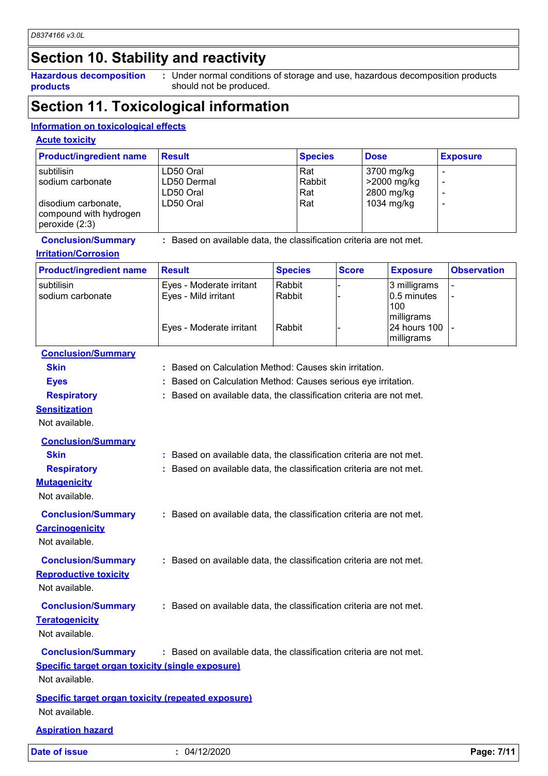# **Section 10. Stability and reactivity**

**Hazardous decomposition products**

Under normal conditions of storage and use, hazardous decomposition products **:** should not be produced.

# **Section 11. Toxicological information**

### **Information on toxicological effects**

### **Acute toxicity**

| <b>Product/ingredient name</b>                                  | <b>Result</b> | <b>Species</b> | <b>Dose</b> | <b>Exposure</b> |
|-----------------------------------------------------------------|---------------|----------------|-------------|-----------------|
| subtilisin                                                      | LD50 Oral     | Rat            | 3700 mg/kg  |                 |
| I sodium carbonate                                              | LD50 Dermal   | Rabbit         | >2000 mg/kg |                 |
|                                                                 | LD50 Oral     | Rat            | 2800 mg/kg  |                 |
| disodium carbonate,<br>compound with hydrogen<br>peroxide (2:3) | LD50 Oral     | Rat            | 1034 mg/kg  |                 |

# **Irritation/Corrosion**

**Conclusion/Summary :** Based on available data, the classification criteria are not met.

#### subtilisin Eyes - Moderate irritant Rabbit - 3 milligrams sodium carbonate Eyes - Mild irritant Rabbit - 0.5 minutes 100 milligrams<br>24 hours 100 - Eyes - Moderate irritant  $\vert$  Rabbit milligrams - **Product/ingredient name** Result **Result Result Species** Score **Exposure** Observation **Species**

| <b>Date of issue</b>                                                        | : 04/12/2020                                                        | Page: 7/11 |
|-----------------------------------------------------------------------------|---------------------------------------------------------------------|------------|
| <b>Aspiration hazard</b>                                                    |                                                                     |            |
| <b>Specific target organ toxicity (repeated exposure)</b><br>Not available. |                                                                     |            |
| <b>Specific target organ toxicity (single exposure)</b><br>Not available.   |                                                                     |            |
| <b>Conclusion/Summary</b>                                                   | : Based on available data, the classification criteria are not met. |            |
| <b>Conclusion/Summary</b><br><b>Teratogenicity</b><br>Not available.        | : Based on available data, the classification criteria are not met. |            |
| <b>Conclusion/Summary</b><br><b>Reproductive toxicity</b><br>Not available. | : Based on available data, the classification criteria are not met. |            |
| <b>Conclusion/Summary</b><br><b>Carcinogenicity</b><br>Not available.       | : Based on available data, the classification criteria are not met. |            |
| <b>Respiratory</b><br><b>Mutagenicity</b><br>Not available.                 | : Based on available data, the classification criteria are not met. |            |
| <b>Conclusion/Summary</b><br><b>Skin</b>                                    | : Based on available data, the classification criteria are not met. |            |
| <b>Sensitization</b><br>Not available.                                      |                                                                     |            |
| <b>Respiratory</b>                                                          | : Based on available data, the classification criteria are not met. |            |
| <b>Eyes</b>                                                                 | Based on Calculation Method: Causes serious eye irritation.         |            |
| <b>Skin</b>                                                                 | : Based on Calculation Method: Causes skin irritation.              |            |
| <b>Conclusion/Summary</b>                                                   |                                                                     |            |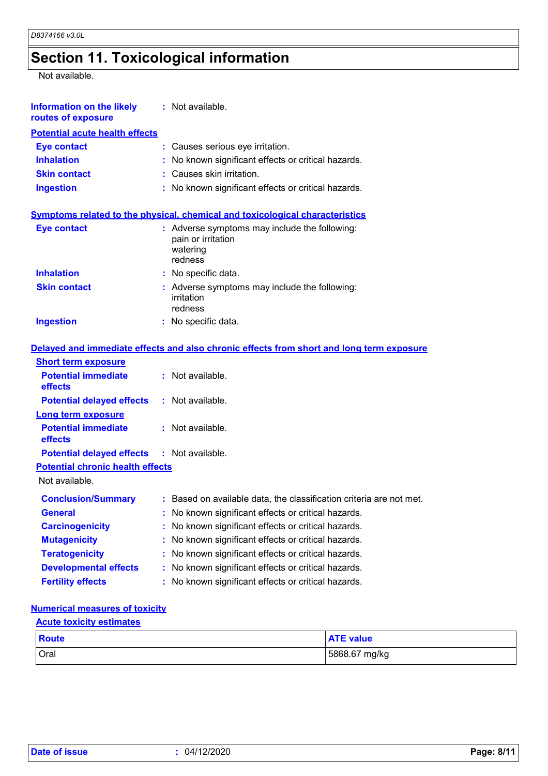# **Section 11. Toxicological information**

Not available.

| <b>Information on the likely</b><br>routes of exposure | : Not available.                                                                           |
|--------------------------------------------------------|--------------------------------------------------------------------------------------------|
| <b>Potential acute health effects</b>                  |                                                                                            |
| <b>Eye contact</b>                                     | : Causes serious eye irritation.                                                           |
| <b>Inhalation</b>                                      | : No known significant effects or critical hazards.                                        |
| <b>Skin contact</b>                                    | : Causes skin irritation.                                                                  |
| <b>Ingestion</b>                                       | : No known significant effects or critical hazards.                                        |
|                                                        | <b>Symptoms related to the physical, chemical and toxicological characteristics</b>        |
| <b>Eye contact</b>                                     | : Adverse symptoms may include the following:<br>pain or irritation<br>watering<br>redness |
| <b>Inhalation</b>                                      | : No specific data.                                                                        |
| <b>Skin contact</b>                                    | : Adverse symptoms may include the following:<br>irritation<br>redness                     |
| <b>Ingestion</b>                                       | : No specific data.                                                                        |
|                                                        | Delayed and immediate effects and also chronic effects from short and long term exposure   |
| <b>Short term exposure</b>                             |                                                                                            |
| <b>Potential immediate</b><br>effects                  | : Not available.                                                                           |
| <b>Potential delayed effects</b>                       | : Not available.                                                                           |
| <b>Long term exposure</b>                              |                                                                                            |
| <b>Potential immediate</b><br>effects                  | $:$ Not available.                                                                         |
| <b>Potential delayed effects</b>                       | $:$ Not available.                                                                         |
| <b>Potential chronic health effects</b>                |                                                                                            |
| Not available.                                         |                                                                                            |
| <b>Conclusion/Summary</b>                              | : Based on available data, the classification criteria are not met.                        |
| General                                                | No known significant effects or critical hazards.                                          |
| <b>Carcinogenicity</b>                                 | : No known significant effects or critical hazards.                                        |
| <b>Mutagenicity</b>                                    | : No known significant effects or critical hazards.                                        |
| <b>Teratogenicity</b>                                  | : No known significant effects or critical hazards.                                        |
| <b>Developmental effects</b>                           | : No known significant effects or critical hazards.                                        |

### **Fertility effects :** No known significant effects or critical hazards.

### **Numerical measures of toxicity**

### **Acute toxicity estimates**

| <b>Route</b> | <b>ATE value</b> |
|--------------|------------------|
| <b>Oral</b>  | 5868.67 mg/kg    |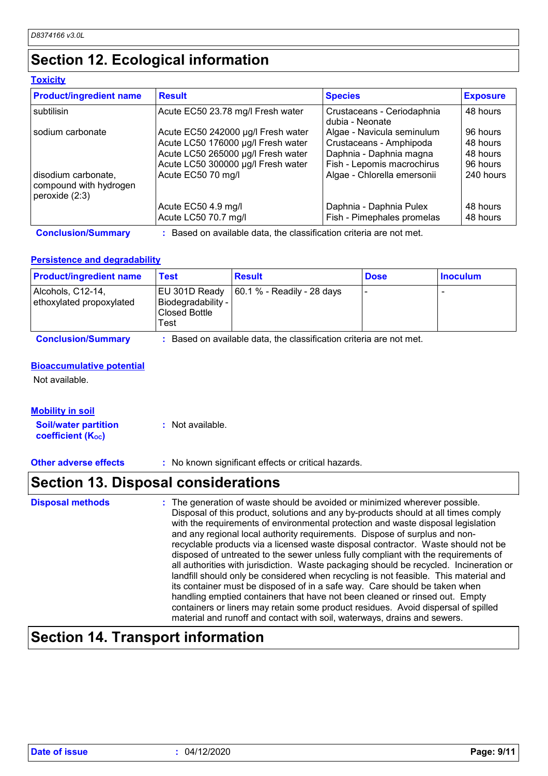# **Section 12. Ecological information**

### **Toxicity**

| <b>Product/ingredient name</b>                                  | <b>Result</b>                                                                                                                                        | <b>Species</b>                                                                                                 | <b>Exposure</b>                              |
|-----------------------------------------------------------------|------------------------------------------------------------------------------------------------------------------------------------------------------|----------------------------------------------------------------------------------------------------------------|----------------------------------------------|
| subtilisin                                                      | Acute EC50 23.78 mg/l Fresh water                                                                                                                    | Crustaceans - Ceriodaphnia<br>dubia - Neonate                                                                  | 48 hours                                     |
| sodium carbonate                                                | Acute EC50 242000 µg/l Fresh water<br>Acute LC50 176000 µg/l Fresh water<br>Acute LC50 265000 µg/l Fresh water<br>Acute LC50 300000 µg/l Fresh water | Algae - Navicula seminulum<br>Crustaceans - Amphipoda<br>Daphnia - Daphnia magna<br>Fish - Lepomis macrochirus | 96 hours<br>48 hours<br>48 hours<br>96 hours |
| disodium carbonate,<br>compound with hydrogen<br>peroxide (2:3) | Acute EC50 70 mg/l                                                                                                                                   | Algae - Chlorella emersonii                                                                                    | 240 hours                                    |
|                                                                 | Acute EC50 4.9 mg/l<br>Acute LC50 70.7 mg/l                                                                                                          | Daphnia - Daphnia Pulex<br>Fish - Pimephales promelas                                                          | 48 hours<br>48 hours                         |
| <b>Conclusion/Summary</b>                                       | Based on available data, the classification criteria are not met.                                                                                    |                                                                                                                |                                              |

### **Persistence and degradability**

| EU 301D Ready   60.1 % - Readily - 28 days<br>Alcohols, C12-14,                       |  |   |
|---------------------------------------------------------------------------------------|--|---|
| ethoxylated propoxylated<br><b>Biodegradability -</b><br><b>Closed Bottle</b><br>Гest |  | - |

**Conclusion/Summary :** Based on available data, the classification criteria are not met.

#### **Bioaccumulative potential**

Not available.

| <b>Mobility in soil</b>                                 |                  |
|---------------------------------------------------------|------------------|
| <b>Soil/water partition</b><br><b>coefficient (Koc)</b> | : Not available. |

**Other adverse effects** : No known significant effects or critical hazards.

# **Section 13. Disposal considerations**

| <b>Disposal methods</b> | : The generation of waste should be avoided or minimized wherever possible.<br>Disposal of this product, solutions and any by-products should at all times comply<br>with the requirements of environmental protection and waste disposal legislation<br>and any regional local authority requirements. Dispose of surplus and non-<br>recyclable products via a licensed waste disposal contractor. Waste should not be<br>disposed of untreated to the sewer unless fully compliant with the requirements of<br>all authorities with jurisdiction. Waste packaging should be recycled. Incineration or<br>landfill should only be considered when recycling is not feasible. This material and<br>its container must be disposed of in a safe way. Care should be taken when<br>handling emptied containers that have not been cleaned or rinsed out. Empty |
|-------------------------|---------------------------------------------------------------------------------------------------------------------------------------------------------------------------------------------------------------------------------------------------------------------------------------------------------------------------------------------------------------------------------------------------------------------------------------------------------------------------------------------------------------------------------------------------------------------------------------------------------------------------------------------------------------------------------------------------------------------------------------------------------------------------------------------------------------------------------------------------------------|
|                         | containers or liners may retain some product residues. Avoid dispersal of spilled<br>material and runoff and contact with soil, waterways, drains and sewers.                                                                                                                                                                                                                                                                                                                                                                                                                                                                                                                                                                                                                                                                                                 |

# **Section 14. Transport information**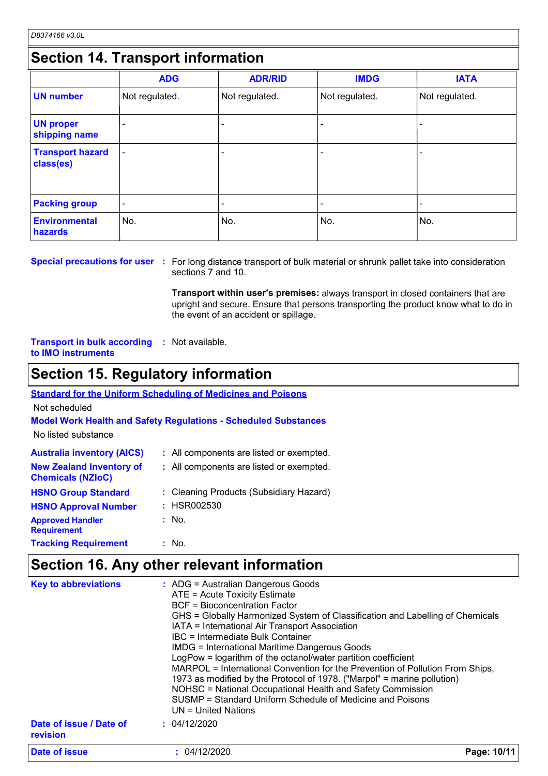# **Section 14. Transport information**

|                                      | <b>ADG</b>               | <b>ADR/RID</b> | <b>IMDG</b>    | <b>IATA</b>    |  |  |
|--------------------------------------|--------------------------|----------------|----------------|----------------|--|--|
| <b>UN number</b>                     | Not regulated.           | Not regulated. | Not regulated. | Not regulated. |  |  |
| <b>UN proper</b><br>shipping name    |                          |                |                |                |  |  |
| <b>Transport hazard</b><br>class(es) | $\overline{\phantom{0}}$ |                |                |                |  |  |
| <b>Packing group</b>                 | ۰                        |                |                |                |  |  |
| <b>Environmental</b><br>hazards      | No.                      | No.            | No.            | No.            |  |  |

#### **Special precautions for user** : For long distance transport of bulk material or shrunk pallet take into consideration sections 7 and 10.

**Transport within user's premises:** always transport in closed containers that are upright and secure. Ensure that persons transporting the product know what to do in the event of an accident or spillage.

**Transport in bulk according :** Not available. **to IMO instruments**

# **Section 15. Regulatory information**

**Standard for the Uniform Scheduling of Medicines and Poisons**

Not scheduled

**Model Work Health and Safety Regulations - Scheduled Substances**

No listed substance

| <b>Australia inventory (AICS)</b>                           | : All components are listed or exempted. |
|-------------------------------------------------------------|------------------------------------------|
| <b>New Zealand Inventory of</b><br><b>Chemicals (NZIoC)</b> | : All components are listed or exempted. |
| <b>HSNO Group Standard</b>                                  | : Cleaning Products (Subsidiary Hazard)  |
| <b>HSNO Approval Number</b>                                 | : HSR002530                              |
| <b>Approved Handler</b><br><b>Requirement</b>               | : No.                                    |
| <b>Tracking Requirement</b>                                 | : No.                                    |

# **Section 16. Any other relevant information**

| <b>BCF</b> = Bioconcentration Factor<br>GHS = Globally Harmonized System of Classification and Labelling of Chemicals<br>IATA = International Air Transport Association<br>IBC = Intermediate Bulk Container<br><b>IMDG = International Maritime Dangerous Goods</b><br>LogPow = logarithm of the octanol/water partition coefficient<br>MARPOL = International Convention for the Prevention of Pollution From Ships,<br>1973 as modified by the Protocol of 1978. ("Marpol" = marine pollution)<br>NOHSC = National Occupational Health and Safety Commission<br>SUSMP = Standard Uniform Schedule of Medicine and Poisons<br>$UN = United Nations$<br>Date of issue / Date of<br>: 04/12/2020 |  |
|--------------------------------------------------------------------------------------------------------------------------------------------------------------------------------------------------------------------------------------------------------------------------------------------------------------------------------------------------------------------------------------------------------------------------------------------------------------------------------------------------------------------------------------------------------------------------------------------------------------------------------------------------------------------------------------------------|--|
| revision<br><b>Date of issue</b><br>: 04/12/2020<br>Page: 10/11                                                                                                                                                                                                                                                                                                                                                                                                                                                                                                                                                                                                                                  |  |